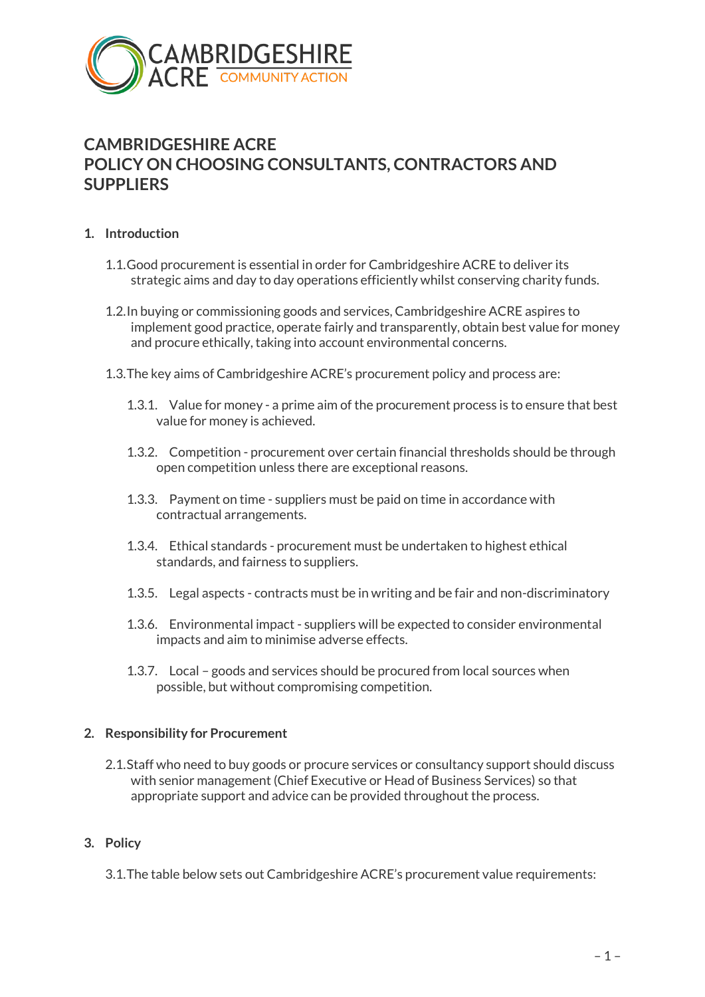

# **CAMBRIDGESHIRE ACRE POLICY ON CHOOSING CONSULTANTS, CONTRACTORS AND SUPPLIERS**

#### **1. Introduction**

- 1.1.Good procurement is essential in order for Cambridgeshire ACRE to deliver its strategic aims and day to day operations efficiently whilst conserving charity funds.
- 1.2.In buying or commissioning goods and services, Cambridgeshire ACRE aspires to implement good practice, operate fairly and transparently, obtain best value for money and procure ethically, taking into account environmental concerns.
- 1.3.The key aims of Cambridgeshire ACRE's procurement policy and process are:
	- 1.3.1. Value for money a prime aim of the procurement process is to ensure that best value for money is achieved.
	- 1.3.2. Competition procurement over certain financial thresholds should be through open competition unless there are exceptional reasons.
	- 1.3.3. Payment on time suppliers must be paid on time in accordance with contractual arrangements.
	- 1.3.4. Ethical standards procurement must be undertaken to highest ethical standards, and fairness to suppliers.
	- 1.3.5. Legal aspects contracts must be in writing and be fair and non-discriminatory
	- 1.3.6. Environmental impact suppliers will be expected to consider environmental impacts and aim to minimise adverse effects.
	- 1.3.7. Local goods and services should be procured from local sources when possible, but without compromising competition.

#### **2. Responsibility for Procurement**

2.1.Staff who need to buy goods or procure services or consultancy support should discuss with senior management (Chief Executive or Head of Business Services) so that appropriate support and advice can be provided throughout the process.

#### **3. Policy**

3.1.The table below sets out Cambridgeshire ACRE's procurement value requirements: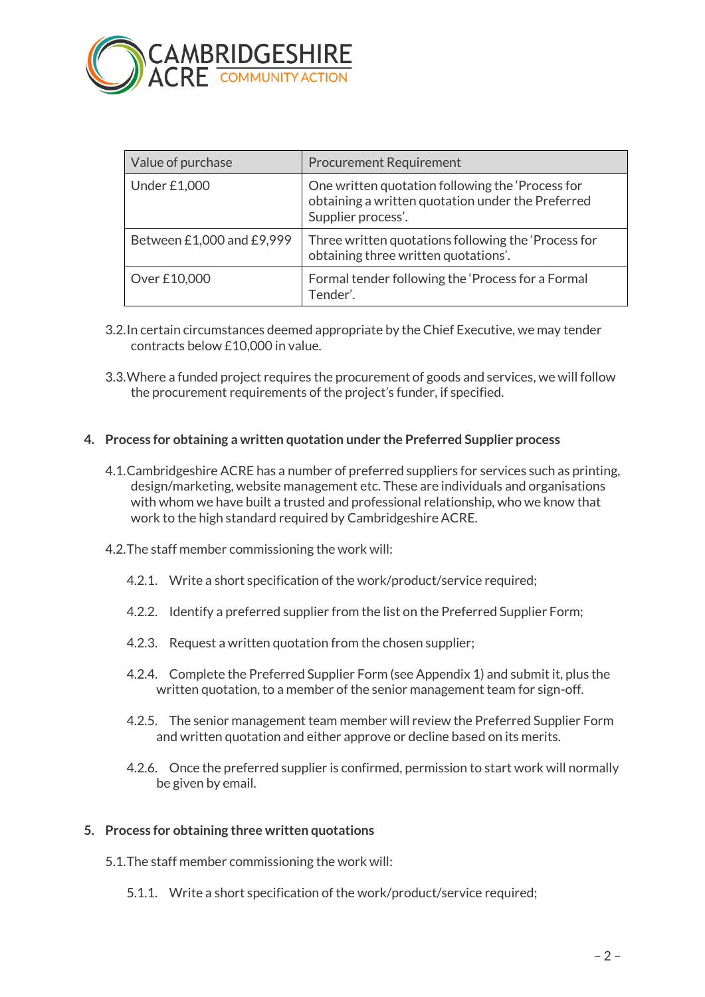

| Value of purchase         | <b>Procurement Requirement</b>                                                                                              |
|---------------------------|-----------------------------------------------------------------------------------------------------------------------------|
| Under £1,000              | One written quotation following the 'Process for<br>obtaining a written quotation under the Preferred<br>Supplier process'. |
| Between £1,000 and £9,999 | Three written quotations following the 'Process for<br>obtaining three written quotations'.                                 |
| Over £10,000              | Formal tender following the 'Process for a Formal<br>Tender'.                                                               |

- 3.2.In certain circumstances deemed appropriate by the Chief Executive, we may tender contracts below £10,000 in value.
- 3.3.Where a funded project requires the procurement of goods and services, we will follow the procurement requirements of the project's funder, if specified.

#### **4. Process for obtaining a written quotation under the Preferred Supplier process**

- 4.1.Cambridgeshire ACRE has a number of preferred suppliers for services such as printing, design/marketing, website management etc. These are individuals and organisations with whom we have built a trusted and professional relationship, who we know that work to the high standard required by Cambridgeshire ACRE.
- 4.2.The staff member commissioning the work will:
	- 4.2.1. Write a short specification of the work/product/service required;
	- 4.2.2. Identify a preferred supplier from the list on the Preferred Supplier Form;
	- 4.2.3. Request a written quotation from the chosen supplier;
	- 4.2.4. Complete the Preferred Supplier Form (see Appendix 1) and submit it, plus the written quotation, to a member of the senior management team for sign-off.
	- 4.2.5. The senior management team member will review the Preferred Supplier Form and written quotation and either approve or decline based on its merits.
	- 4.2.6. Once the preferred supplier is confirmed, permission to start work will normally be given by email.

#### **5. Process for obtaining three written quotations**

- 5.1.The staff member commissioning the work will:
	- 5.1.1. Write a short specification of the work/product/service required;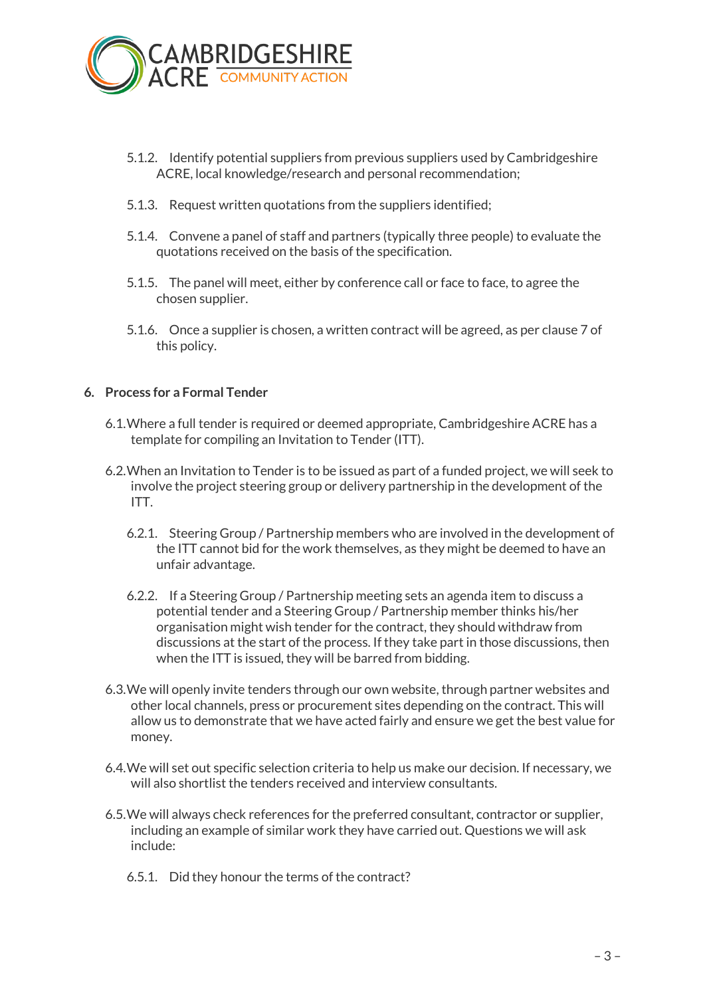

- 5.1.2. Identify potential suppliers from previous suppliers used by Cambridgeshire ACRE, local knowledge/research and personal recommendation;
- 5.1.3. Request written quotations from the suppliers identified;
- 5.1.4. Convene a panel of staff and partners (typically three people) to evaluate the quotations received on the basis of the specification.
- 5.1.5. The panel will meet, either by conference call or face to face, to agree the chosen supplier.
- 5.1.6. Once a supplier is chosen, a written contract will be agreed, as per clause 7 of this policy.

#### **6. Process for a Formal Tender**

- 6.1.Where a full tender is required or deemed appropriate, Cambridgeshire ACRE has a template for compiling an Invitation to Tender (ITT).
- 6.2.When an Invitation to Tender is to be issued as part of a funded project, we will seek to involve the project steering group or delivery partnership in the development of the ITT.
	- 6.2.1. Steering Group / Partnership members who are involved in the development of the ITT cannot bid for the work themselves, as they might be deemed to have an unfair advantage.
	- 6.2.2. If a Steering Group / Partnership meeting sets an agenda item to discuss a potential tender and a Steering Group / Partnership member thinks his/her organisation might wish tender for the contract, they should withdraw from discussions at the start of the process. If they take part in those discussions, then when the ITT is issued, they will be barred from bidding.
- 6.3.We will openly invite tenders through our own website, through partner websites and other local channels, press or procurement sites depending on the contract. This will allow us to demonstrate that we have acted fairly and ensure we get the best value for money.
- 6.4.We will set out specific selection criteria to help us make our decision. If necessary, we will also shortlist the tenders received and interview consultants.
- 6.5.We will always check references for the preferred consultant, contractor or supplier, including an example of similar work they have carried out. Questions we will ask include:
	- 6.5.1. Did they honour the terms of the contract?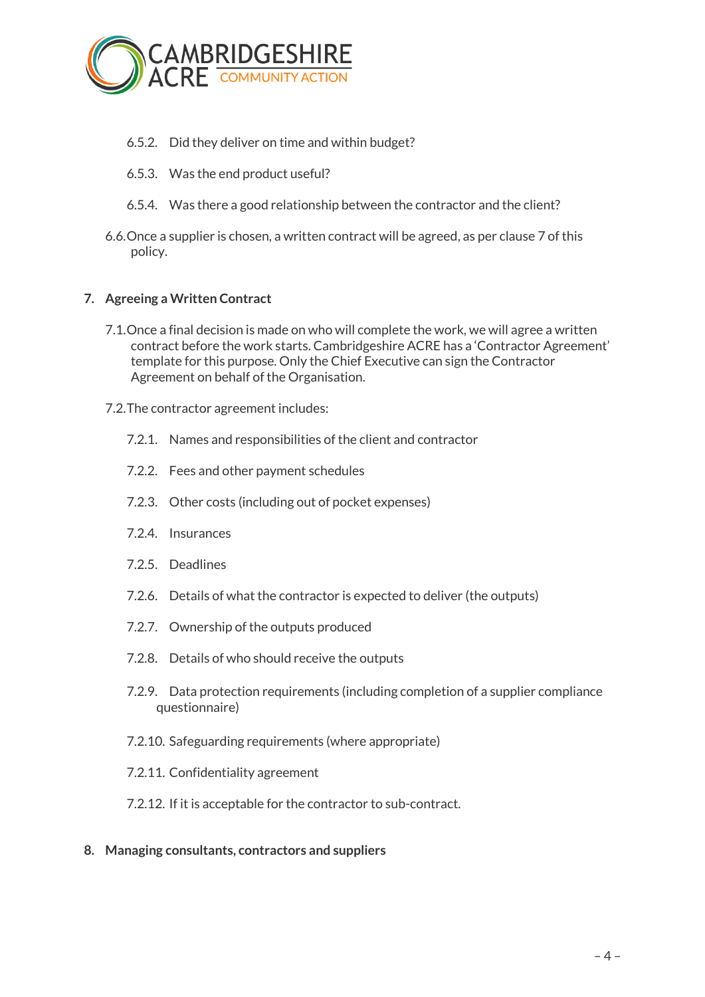

- 6.5.2. Did they deliver on time and within budget?
- 6.5.3. Was the end product useful?
- 6.5.4. Was there a good relationship between the contractor and the client?
- 6.6.Once a supplier is chosen, a written contract will be agreed, as per clause 7 of this policy.

#### **7. Agreeing a Written Contract**

- 7.1.Once a final decision is made on who will complete the work, we will agree a written contract before the work starts. Cambridgeshire ACRE has a 'Contractor Agreement' template for this purpose. Only the Chief Executive can sign the Contractor Agreement on behalf of the Organisation.
- 7.2.The contractor agreement includes:
	- 7.2.1. Names and responsibilities of the client and contractor
	- 7.2.2. Fees and other payment schedules
	- 7.2.3. Other costs (including out of pocket expenses)
	- 7.2.4. Insurances
	- 7.2.5. Deadlines
	- 7.2.6. Details of what the contractor is expected to deliver (the outputs)
	- 7.2.7. Ownership of the outputs produced
	- 7.2.8. Details of who should receive the outputs
	- 7.2.9. Data protection requirements (including completion of a supplier compliance questionnaire)
	- 7.2.10. Safeguarding requirements (where appropriate)
	- 7.2.11. Confidentiality agreement
	- 7.2.12. If it is acceptable for the contractor to sub-contract.
- **8. Managing consultants, contractors and suppliers**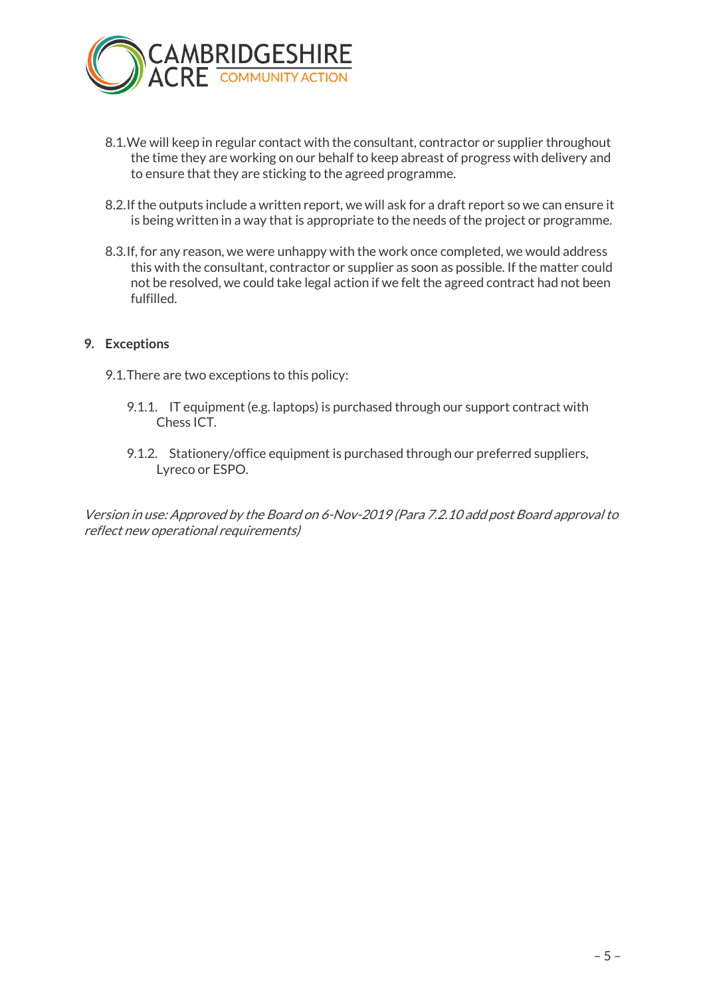

- 8.1.We will keep in regular contact with the consultant, contractor or supplier throughout the time they are working on our behalf to keep abreast of progress with delivery and to ensure that they are sticking to the agreed programme.
- 8.2.If the outputs include a written report, we will ask for a draft report so we can ensure it is being written in a way that is appropriate to the needs of the project or programme.
- 8.3.If, for any reason, we were unhappy with the work once completed, we would address this with the consultant, contractor or supplier as soon as possible. If the matter could not be resolved, we could take legal action if we felt the agreed contract had not been fulfilled.

#### **9. Exceptions**

- 9.1.There are two exceptions to this policy:
	- 9.1.1. IT equipment (e.g. laptops) is purchased through our support contract with Chess ICT.
	- 9.1.2. Stationery/office equipment is purchased through our preferred suppliers, Lyreco or ESPO.

Version in use: Approved by the Board on 6-Nov-2019 (Para 7.2.10 add post Board approval to reflect new operational requirements)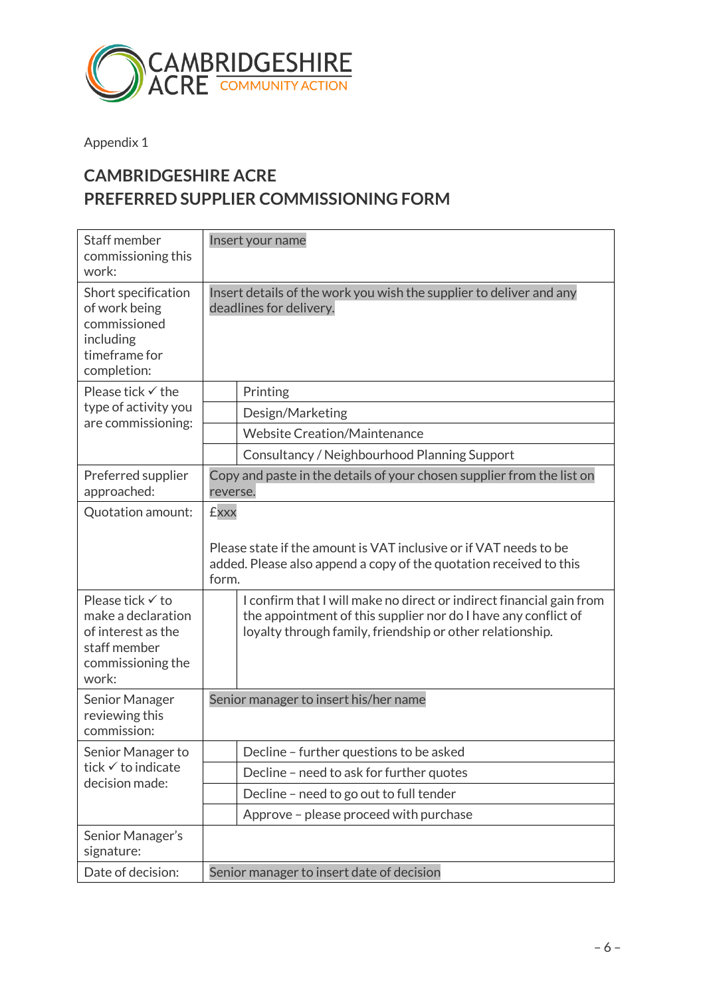

Appendix 1

# **CAMBRIDGESHIRE ACRE PREFERRED SUPPLIER COMMISSIONING FORM**

| Staff member<br>commissioning this<br>work:                                                                | Insert your name                                                                                                                                                                                    |  |
|------------------------------------------------------------------------------------------------------------|-----------------------------------------------------------------------------------------------------------------------------------------------------------------------------------------------------|--|
| Short specification<br>of work being<br>commissioned<br>including<br>timeframe for<br>completion:          | Insert details of the work you wish the supplier to deliver and any<br>deadlines for delivery.                                                                                                      |  |
| Please tick $\checkmark$ the<br>type of activity you<br>are commissioning:                                 | Printing                                                                                                                                                                                            |  |
|                                                                                                            | Design/Marketing                                                                                                                                                                                    |  |
|                                                                                                            | <b>Website Creation/Maintenance</b>                                                                                                                                                                 |  |
|                                                                                                            | Consultancy / Neighbourhood Planning Support                                                                                                                                                        |  |
| Preferred supplier<br>approached:                                                                          | Copy and paste in the details of your chosen supplier from the list on<br>reverse.                                                                                                                  |  |
| Quotation amount:                                                                                          | <b>£xxx</b>                                                                                                                                                                                         |  |
|                                                                                                            | Please state if the amount is VAT inclusive or if VAT needs to be<br>added. Please also append a copy of the quotation received to this<br>form.                                                    |  |
| Please tick √ to<br>make a declaration<br>of interest as the<br>staff member<br>commissioning the<br>work: | I confirm that I will make no direct or indirect financial gain from<br>the appointment of this supplier nor do I have any conflict of<br>loyalty through family, friendship or other relationship. |  |
| Senior Manager<br>reviewing this<br>commission:                                                            | Senior manager to insert his/her name                                                                                                                                                               |  |
| Senior Manager to<br>tick √ to indicate<br>decision made:                                                  | Decline - further questions to be asked                                                                                                                                                             |  |
|                                                                                                            | Decline - need to ask for further quotes                                                                                                                                                            |  |
|                                                                                                            | Decline - need to go out to full tender                                                                                                                                                             |  |
|                                                                                                            | Approve - please proceed with purchase                                                                                                                                                              |  |
| Senior Manager's<br>signature:                                                                             |                                                                                                                                                                                                     |  |
| Date of decision:                                                                                          | Senior manager to insert date of decision                                                                                                                                                           |  |